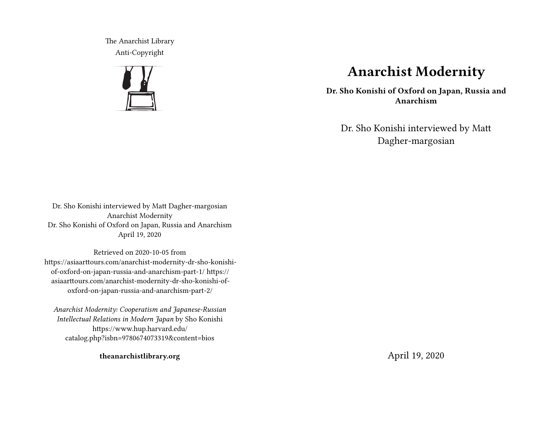The Anarchist Library Anti-Copyright



# **Anarchist Modernity**

**Dr. Sho Konishi of Oxford on Japan, Russia and Anarchism**

Dr. Sho Konishi interviewed by Matt Dagher-margosian

Dr. Sho Konishi interviewed by Matt Dagher-margosian Anarchist Modernity Dr. Sho Konishi of Oxford on Japan, Russia and Anarchism April 19, 2020

Retrieved on 2020-10-05 from https://asiaarttours.com/anarchist-modernity-dr-sho-konishiof-oxford-on-japan-russia-and-anarchism-part-1/ https:// asiaarttours.com/anarchist-modernity-dr-sho-konishi-ofoxford-on-japan-russia-and-anarchism-part-2/

*Anarchist Modernity: Cooperatism and Japanese-Russian Intellectual Relations in Modern Japan* by Sho Konishi https://www.hup.harvard.edu/ catalog.php?isbn=9780674073319&content=bios

**theanarchistlibrary.org**

April 19, 2020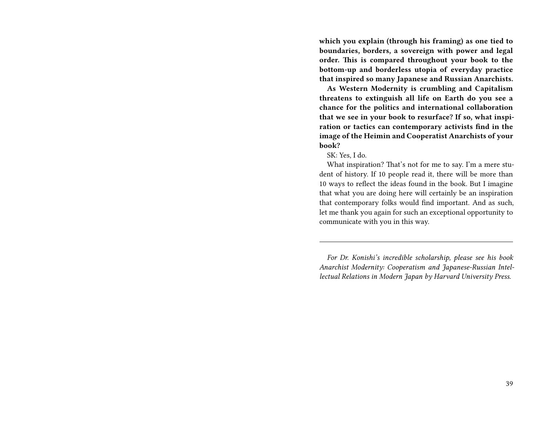**which you explain (through his framing) as one tied to boundaries, borders, a sovereign with power and legal order. This is compared throughout your book to the bottom-up and borderless utopia of everyday practice that inspired so many Japanese and Russian Anarchists.**

**As Western Modernity is crumbling and Capitalism threatens to extinguish all life on Earth do you see a chance for the politics and international collaboration that we see in your book to resurface? If so, what inspiration or tactics can contemporary activists find in the image of the Heimin and Cooperatist Anarchists of your book?**

SK: Yes, I do.

What inspiration? That's not for me to say. I'm a mere student of history. If 10 people read it, there will be more than 10 ways to reflect the ideas found in the book. But I imagine that what you are doing here will certainly be an inspiration that contemporary folks would find important. And as such, let me thank you again for such an exceptional opportunity to communicate with you in this way.

*For Dr. Konishi's incredible scholarship, please see his book Anarchist Modernity: Cooperatism and Japanese-Russian Intellectual Relations in Modern Japan by Harvard University Press.*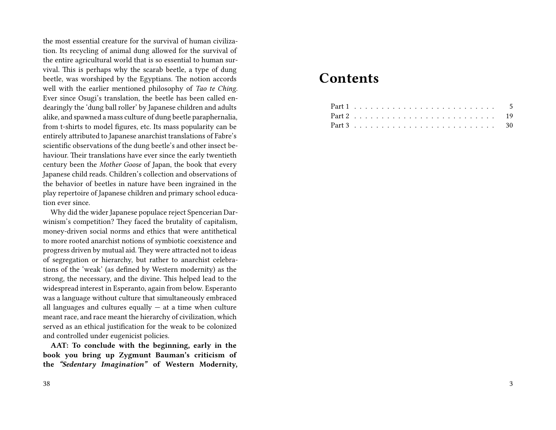the most essential creature for the survival of human civilization. Its recycling of animal dung allowed for the survival of the entire agricultural world that is so essential to human survival. This is perhaps why the scarab beetle, a type of dung beetle, was worshiped by the Egyptians. The notion accords well with the earlier mentioned philosophy of *Tao te Ching*. Ever since Osugi's translation, the beetle has been called endearingly the 'dung ball roller' by Japanese children and adults alike, and spawned a mass culture of dung beetle paraphernalia, from t-shirts to model figures, etc. Its mass popularity can be entirely attributed to Japanese anarchist translations of Fabre's scientific observations of the dung beetle's and other insect behaviour. Their translations have ever since the early twentieth century been the *Mother Goose* of Japan, the book that every Japanese child reads. Children's collection and observations of the behavior of beetles in nature have been ingrained in the play repertoire of Japanese children and primary school education ever since.

Why did the wider Japanese populace reject Spencerian Darwinism's competition? They faced the brutality of capitalism, money-driven social norms and ethics that were antithetical to more rooted anarchist notions of symbiotic coexistence and progress driven by mutual aid. They were attracted not to ideas of segregation or hierarchy, but rather to anarchist celebrations of the 'weak' (as defined by Western modernity) as the strong, the necessary, and the divine. This helped lead to the widespread interest in Esperanto, again from below. Esperanto was a language without culture that simultaneously embraced all languages and cultures equally  $-$  at a time when culture meant race, and race meant the hierarchy of civilization, which served as an ethical justification for the weak to be colonized and controlled under eugenicist policies.

**AAT: To conclude with the beginning, early in the book you bring up Zygmunt Bauman's criticism of the** *"Sedentary Imagination"* **of Western Modernity,**

#### 38

## **Contents**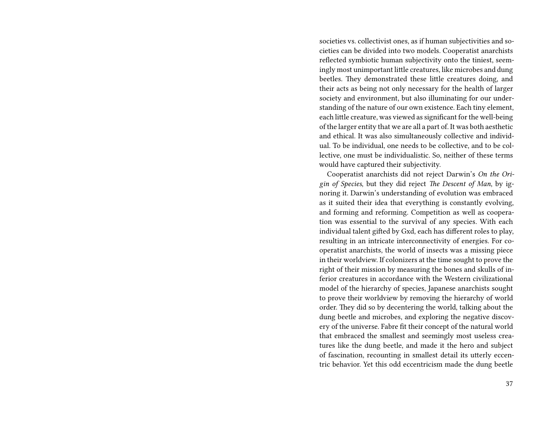societies vs. collectivist ones, as if human subjectivities and societies can be divided into two models. Cooperatist anarchists reflected symbiotic human subjectivity onto the tiniest, seemingly most unimportant little creatures, like microbes and dung beetles. They demonstrated these little creatures doing, and their acts as being not only necessary for the health of larger society and environment, but also illuminating for our understanding of the nature of our own existence. Each tiny element, each little creature, was viewed as significant for the well-being of the larger entity that we are all a part of. It was both aesthetic and ethical. It was also simultaneously collective and individual. To be individual, one needs to be collective, and to be collective, one must be individualistic. So, neither of these terms would have captured their subjectivity.

Cooperatist anarchists did not reject Darwin's *On the Origin of Species*, but they did reject *The Descent of Man*, by ignoring it. Darwin's understanding of evolution was embraced as it suited their idea that everything is constantly evolving, and forming and reforming. Competition as well as cooperation was essential to the survival of any species. With each individual talent gifted by Gxd, each has different roles to play, resulting in an intricate interconnectivity of energies. For cooperatist anarchists, the world of insects was a missing piece in their worldview. If colonizers at the time sought to prove the right of their mission by measuring the bones and skulls of inferior creatures in accordance with the Western civilizational model of the hierarchy of species, Japanese anarchists sought to prove their worldview by removing the hierarchy of world order. They did so by decentering the world, talking about the dung beetle and microbes, and exploring the negative discovery of the universe. Fabre fit their concept of the natural world that embraced the smallest and seemingly most useless creatures like the dung beetle, and made it the hero and subject of fascination, recounting in smallest detail its utterly eccentric behavior. Yet this odd eccentricism made the dung beetle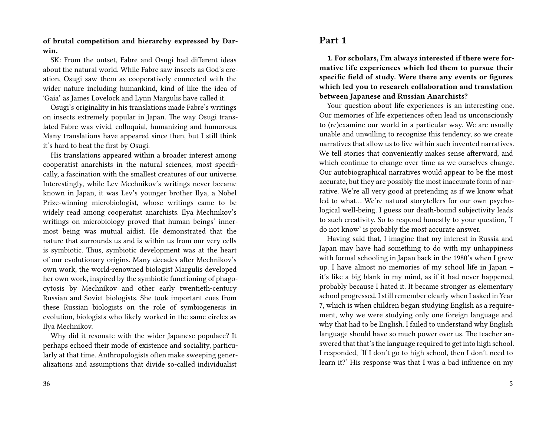#### **of brutal competition and hierarchy expressed by Darwin.**

SK: From the outset, Fabre and Osugi had different ideas about the natural world. While Fabre saw insects as God's creation, Osugi saw them as cooperatively connected with the wider nature including humankind, kind of like the idea of 'Gaia' as James Lovelock and Lynn Margulis have called it.

Osugi's originality in his translations made Fabre's writings on insects extremely popular in Japan. The way Osugi translated Fabre was vivid, colloquial, humanizing and humorous. Many translations have appeared since then, but I still think it's hard to beat the first by Osugi.

His translations appeared within a broader interest among cooperatist anarchists in the natural sciences, most specifically, a fascination with the smallest creatures of our universe. Interestingly, while Lev Mechnikov's writings never became known in Japan, it was Lev's younger brother Ilya, a Nobel Prize-winning microbiologist, whose writings came to be widely read among cooperatist anarchists. Ilya Mechnikov's writings on microbiology proved that human beings' innermost being was mutual aidist. He demonstrated that the nature that surrounds us and is within us from our very cells is symbiotic. Thus, symbiotic development was at the heart of our evolutionary origins. Many decades after Mechnikov's own work, the world-renowned biologist Margulis developed her own work, inspired by the symbiotic functioning of phagocytosis by Mechnikov and other early twentieth-century Russian and Soviet biologists. She took important cues from these Russian biologists on the role of symbiogenesis in evolution, biologists who likely worked in the same circles as Ilya Mechnikov.

Why did it resonate with the wider Japanese populace? It perhaps echoed their mode of existence and sociality, particularly at that time. Anthropologists often make sweeping generalizations and assumptions that divide so-called individualist

## **Part 1**

**1. For scholars, I'm always interested if there were formative life experiences which led them to pursue their specific field of study. Were there any events or figures which led you to research collaboration and translation between Japanese and Russian Anarchists?**

Your question about life experiences is an interesting one. Our memories of life experiences often lead us unconsciously to (re)examine our world in a particular way. We are usually unable and unwilling to recognize this tendency, so we create narratives that allow us to live within such invented narratives. We tell stories that conveniently makes sense afterward, and which continue to change over time as we ourselves change. Our autobiographical narratives would appear to be the most accurate, but they are possibly the most inaccurate form of narrative. We're all very good at pretending as if we know what led to what… We're natural storytellers for our own psychological well-being. I guess our death-bound subjectivity leads to such creativity. So to respond honestly to your question, 'I do not know' is probably the most accurate answer.

Having said that, I imagine that my interest in Russia and Japan may have had something to do with my unhappiness with formal schooling in Japan back in the 1980's when I grew up. I have almost no memories of my school life in Japan – it's like a big blank in my mind, as if it had never happened, probably because I hated it. It became stronger as elementary school progressed. I still remember clearly when I asked in Year 7, which is when children began studying English as a requirement, why we were studying only one foreign language and why that had to be English. I failed to understand why English language should have so much power over us. The teacher answered that that's the language required to get into high school. I responded, 'If I don't go to high school, then I don't need to learn it?' His response was that I was a bad influence on my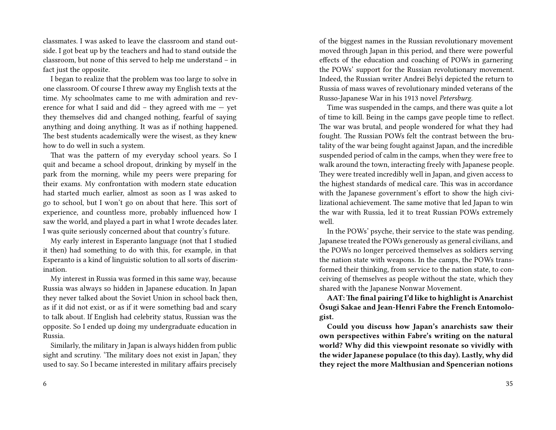classmates. I was asked to leave the classroom and stand outside. I got beat up by the teachers and had to stand outside the classroom, but none of this served to help me understand – in fact just the opposite.

I began to realize that the problem was too large to solve in one classroom. Of course I threw away my English texts at the time. My schoolmates came to me with admiration and reverence for what I said and did – they agreed with me  $-$  yet they themselves did and changed nothing, fearful of saying anything and doing anything. It was as if nothing happened. The best students academically were the wisest, as they knew how to do well in such a system.

That was the pattern of my everyday school years. So I quit and became a school dropout, drinking by myself in the park from the morning, while my peers were preparing for their exams. My confrontation with modern state education had started much earlier, almost as soon as I was asked to go to school, but I won't go on about that here. This sort of experience, and countless more, probably influenced how I saw the world, and played a part in what I wrote decades later. I was quite seriously concerned about that country's future.

My early interest in Esperanto language (not that I studied it then) had something to do with this, for example, in that Esperanto is a kind of linguistic solution to all sorts of discrimination.

My interest in Russia was formed in this same way, because Russia was always so hidden in Japanese education. In Japan they never talked about the Soviet Union in school back then, as if it did not exist, or as if it were something bad and scary to talk about. If English had celebrity status, Russian was the opposite. So I ended up doing my undergraduate education in Russia.

Similarly, the military in Japan is always hidden from public sight and scrutiny. 'The military does not exist in Japan,' they used to say. So I became interested in military affairs precisely of the biggest names in the Russian revolutionary movement moved through Japan in this period, and there were powerful effects of the education and coaching of POWs in garnering the POWs' support for the Russian revolutionary movement. Indeed, the Russian writer Andrei Belyi depicted the return to Russia of mass waves of revolutionary minded veterans of the Russo-Japanese War in his 1913 novel *Petersburg*.

Time was suspended in the camps, and there was quite a lot of time to kill. Being in the camps gave people time to reflect. The war was brutal, and people wondered for what they had fought. The Russian POWs felt the contrast between the brutality of the war being fought against Japan, and the incredible suspended period of calm in the camps, when they were free to walk around the town, interacting freely with Japanese people. They were treated incredibly well in Japan, and given access to the highest standards of medical care. This was in accordance with the Japanese government's effort to show the high civilizational achievement. The same motive that led Japan to win the war with Russia, led it to treat Russian POWs extremely well.

In the POWs' psyche, their service to the state was pending. Japanese treated the POWs generously as general civilians, and the POWs no longer perceived themselves as soldiers serving the nation state with weapons. In the camps, the POWs transformed their thinking, from service to the nation state, to conceiving of themselves as people without the state, which they shared with the Japanese Nonwar Movement.

**AAT:The final pairing I'd like to highlight is Anarchist Ōsugi Sakae and Jean-Henri Fabre the French Entomologist.**

**Could you discuss how Japan's anarchists saw their own perspectives within Fabre's writing on the natural world? Why did this viewpoint resonate so vividly with the wider Japanese populace (to this day). Lastly, why did they reject the more Malthusian and Spencerian notions**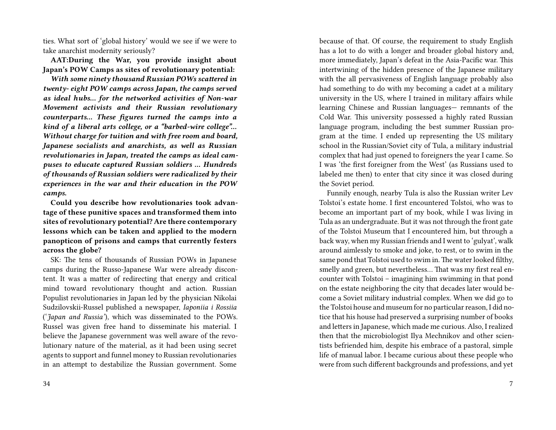ties. What sort of 'global history' would we see if we were to take anarchist modernity seriously?

**AAT:During the War, you provide insight about Japan's POW Camps as sites of revolutionary potential:**

*With some ninety thousand Russian POWs scattered in twenty- eight POW camps across Japan, the camps served as ideal hubs… for the networked activities of Non-war Movement activists and their Russian revolutionary counterparts… These figures turned the camps into a kind of a liberal arts college, or a "barbed-wire college"… Without charge for tuition and with free room and board, Japanese socialists and anarchists, as well as Russian revolutionaries in Japan, treated the camps as ideal campuses to educate captured Russian soldiers … Hundreds of thousands of Russian soldiers were radicalized by their experiences in the war and their education in the POW camps.*

**Could you describe how revolutionaries took advantage of these punitive spaces and transformed them into sites of revolutionary potential? Are there contemporary lessons which can be taken and applied to the modern panopticon of prisons and camps that currently festers across the globe?**

SK: The tens of thousands of Russian POWs in Japanese camps during the Russo-Japanese War were already discontent. It was a matter of redirecting that energy and critical mind toward revolutionary thought and action. Russian Populist revolutionaries in Japan led by the physician Nikolai Sudzilovskii-Russel published a newspaper, *Iaponiia i Rossiia* ('*Japan and Russia'*), which was disseminated to the POWs. Russel was given free hand to disseminate his material. I believe the Japanese government was well aware of the revolutionary nature of the material, as it had been using secret agents to support and funnel money to Russian revolutionaries in an attempt to destabilize the Russian government. Some

because of that. Of course, the requirement to study English has a lot to do with a longer and broader global history and, more immediately, Japan's defeat in the Asia-Pacific war. This intertwining of the hidden presence of the Japanese military with the all pervasiveness of English language probably also had something to do with my becoming a cadet at a military university in the US, where I trained in military affairs while learning Chinese and Russian languages— remnants of the Cold War. This university possessed a highly rated Russian language program, including the best summer Russian program at the time. I ended up representing the US military school in the Russian/Soviet city of Tula, a military industrial complex that had just opened to foreigners the year I came. So I was 'the first foreigner from the West' (as Russians used to labeled me then) to enter that city since it was closed during the Soviet period.

Funnily enough, nearby Tula is also the Russian writer Lev Tolstoi's estate home. I first encountered Tolstoi, who was to become an important part of my book, while I was living in Tula as an undergraduate. But it was not through the front gate of the Tolstoi Museum that I encountered him, but through a back way, when my Russian friends and I went to 'gulyat', walk around aimlessly to smoke and joke, to rest, or to swim in the same pond that Tolstoi used to swim in. The water looked filthy, smelly and green, but nevertheless… That was my first real encounter with Tolstoi – imagining him swimming in that pond on the estate neighboring the city that decades later would become a Soviet military industrial complex. When we did go to the Tolstoi house and museum for no particular reason, I did notice that his house had preserved a surprising number of books and letters in Japanese, which made me curious. Also, I realized then that the microbiologist Ilya Mechnikov and other scientists befriended him, despite his embrace of a pastoral, simple life of manual labor. I became curious about these people who were from such different backgrounds and professions, and yet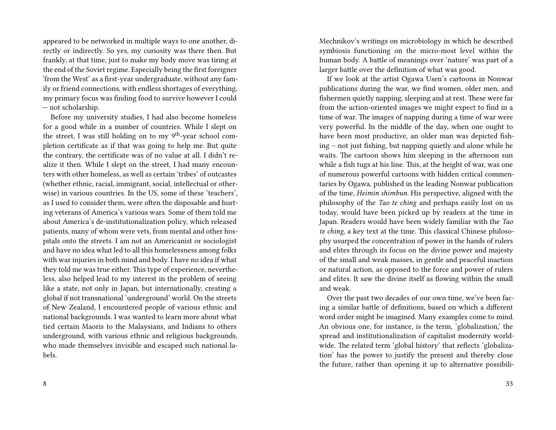appeared to be networked in multiple ways to one another, directly or indirectly. So yes, my curiosity was there then. But frankly, at that time, just to make my body move was tiring at the end of the Soviet regime. Especially being the first foreigner 'from the West' as a first-year undergraduate, without any family or friend connections, with endless shortages of everything, my primary focus was finding food to survive however I could — not scholarship.

Before my university studies, I had also become homeless for a good while in a number of countries. While I slept on the street, I was still holding on to my  $9<sup>th</sup>$ -year school completion certificate as if that was going to help me. But quite the contrary, the certificate was of no value at all. I didn't realize it then. While I slept on the street, I had many encounters with other homeless, as well as certain 'tribes' of outcastes (whether ethnic, racial, immigrant, social, intellectual or otherwise) in various countries. In the US, some of these 'teachers', as I used to consider them, were often the disposable and hurting veterans of America's various wars. Some of them told me about America's de-institutionalization policy, which released patients, many of whom were vets, from mental and other hospitals onto the streets. I am not an Americanist or sociologist and have no idea what led to all this homelessness among folks with war injuries in both mind and body. I have no idea if what they told me was true either. This type of experience, nevertheless, also helped lead to my interest in the problem of seeing like a state, not only in Japan, but internationally, creating a global if not transnational 'underground' world. On the streets of New Zealand, I encountered people of various ethnic and national backgrounds. I was wanted to learn more about what tied certain Maoris to the Malaysians, and Indians to others underground, with various ethnic and religious backgrounds, who made themselves invisible and escaped such national labels.

Mechnikov's writings on microbiology in which he described symbiosis functioning on the micro-most level within the human body. A battle of meanings over 'nature' was part of a larger battle over the definition of what was good.

If we look at the artist Ogawa Usen's cartoons in Nonwar publications during the war, we find women, older men, and fishermen quietly napping, sleeping and at rest. These were far from the action-oriented images we might expect to find in a time of war. The images of napping during a time of war were very powerful. In the middle of the day, when one ought to have been most productive, an older man was depicted fishing – not just fishing, but napping quietly and alone while he waits. The cartoon shows him sleeping in the afternoon sun while a fish tugs at his line. This, at the height of war, was one of numerous powerful cartoons with hidden critical commentaries by Ogawa, published in the leading Nonwar publication of the time, *Heimin shimbun*. His perspective, aligned with the philosophy of the *Tao te ching* and perhaps easily lost on us today, would have been picked up by readers at the time in Japan. Readers would have been widely familiar with the *Tao te ching*, a key text at the time. This classical Chinese philosophy usurped the concentration of power in the hands of rulers and elites through its focus on the divine power and majesty of the small and weak masses, in gentle and peaceful inaction or natural action, as opposed to the force and power of rulers and elites. It saw the divine itself as flowing within the small and weak.

Over the past two decades of our own time, we've been facing a similar battle of definitions, based on which a different word order might be imagined. Many examples come to mind. An obvious one, for instance, is the term, 'globalization,' the spread and institutionalization of capitalist modernity worldwide. The related term 'global history' that reflects 'globalization' has the power to justify the present and thereby close the future, rather than opening it up to alternative possibili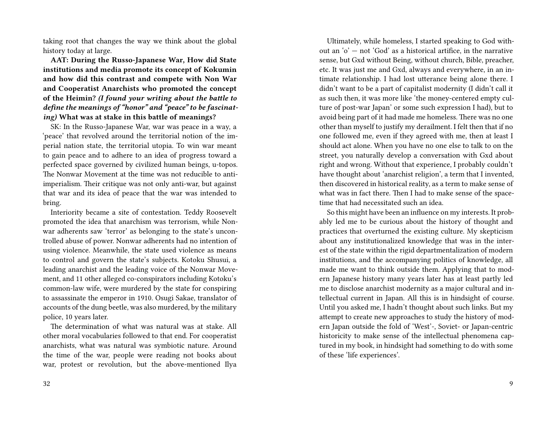taking root that changes the way we think about the global history today at large.

**AAT: During the Russo-Japanese War, How did State institutions and media promote its concept of Kokumin and how did this contrast and compete with Non War and Cooperatist Anarchists who promoted the concept of the Heimin?** *(I found your writing about the battle to define the meanings of "honor" and "peace" to be fascinating)* **What was at stake in this battle of meanings?**

SK: In the Russo-Japanese War, war was peace in a way, a 'peace' that revolved around the territorial notion of the imperial nation state, the territorial utopia. To win war meant to gain peace and to adhere to an idea of progress toward a perfected space governed by civilized human beings, u-topos. The Nonwar Movement at the time was not reducible to antiimperialism. Their critique was not only anti-war, but against that war and its idea of peace that the war was intended to bring.

Interiority became a site of contestation. Teddy Roosevelt promoted the idea that anarchism was terrorism, while Nonwar adherents saw 'terror' as belonging to the state's uncontrolled abuse of power. Nonwar adherents had no intention of using violence. Meanwhile, the state used violence as means to control and govern the state's subjects. Kotoku Shusui, a leading anarchist and the leading voice of the Nonwar Movement, and 11 other alleged co-conspirators including Kotoku's common-law wife, were murdered by the state for conspiring to assassinate the emperor in 1910. Osugi Sakae, translator of accounts of the dung beetle, was also murdered, by the military police, 10 years later.

The determination of what was natural was at stake. All other moral vocabularies followed to that end. For cooperatist anarchists, what was natural was symbiotic nature. Around the time of the war, people were reading not books about war, protest or revolution, but the above-mentioned Ilya

Ultimately, while homeless, I started speaking to God without an 'o' — not 'God' as a historical artifice, in the narrative sense, but Gxd without Being, without church, Bible, preacher, etc. It was just me and Gxd, always and everywhere, in an intimate relationship. I had lost utterance being alone there. I didn't want to be a part of capitalist modernity (I didn't call it as such then, it was more like 'the money-centered empty culture of post-war Japan' or some such expression I had), but to avoid being part of it had made me homeless. There was no one other than myself to justify my derailment. I felt then that if no one followed me, even if they agreed with me, then at least I should act alone. When you have no one else to talk to on the street, you naturally develop a conversation with Gxd about right and wrong. Without that experience, I probably couldn't have thought about 'anarchist religion', a term that I invented, then discovered in historical reality, as a term to make sense of what was in fact there. Then I had to make sense of the spacetime that had necessitated such an idea.

So this might have been an influence on my interests. It probably led me to be curious about the history of thought and practices that overturned the existing culture. My skepticism about any institutionalized knowledge that was in the interest of the state within the rigid departmentalization of modern institutions, and the accompanying politics of knowledge, all made me want to think outside them. Applying that to modern Japanese history many years later has at least partly led me to disclose anarchist modernity as a major cultural and intellectual current in Japan. All this is in hindsight of course. Until you asked me, I hadn't thought about such links. But my attempt to create new approaches to study the history of modern Japan outside the fold of 'West'-, Soviet- or Japan-centric historicity to make sense of the intellectual phenomena captured in my book, in hindsight had something to do with some of these 'life experiences'.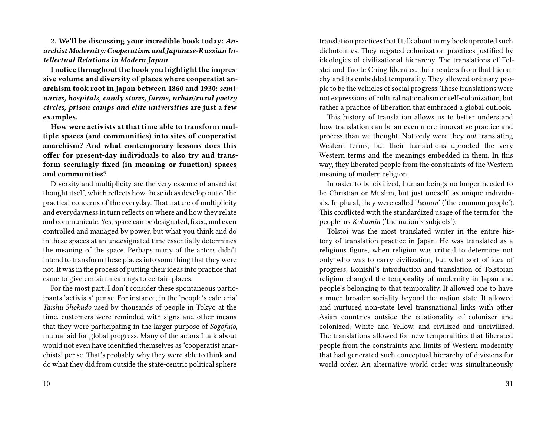**2. We'll be discussing your incredible book today:** *Anarchist Modernity: Cooperatism and Japanese-Russian Intellectual Relations in Modern Japan*

**I notice throughout the book you highlight the impressive volume and diversity of places where cooperatist anarchism took root in Japan between 1860 and 1930:** *seminaries, hospitals, candy stores, farms, urban/rural poetry circles, prison camps and elite universities* **are just a few examples.**

**How were activists at that time able to transform multiple spaces (and communities) into sites of cooperatist anarchism? And what contemporary lessons does this offer for present-day individuals to also try and transform seemingly fixed (in meaning or function) spaces and communities?**

Diversity and multiplicity are the very essence of anarchist thought itself, which reflects how these ideas develop out of the practical concerns of the everyday. That nature of multiplicity and everydayness in turn reflects on where and how they relate and communicate. Yes, space can be designated, fixed, and even controlled and managed by power, but what you think and do in these spaces at an undesignated time essentially determines the meaning of the space. Perhaps many of the actors didn't intend to transform these places into something that they were not. It was in the process of putting their ideas into practice that came to give certain meanings to certain places.

For the most part, I don't consider these spontaneous participants 'activists' per se. For instance, in the 'people's cafeteria' *Taishu Shokudo* used by thousands of people in Tokyo at the time, customers were reminded with signs and other means that they were participating in the larger purpose of *Sogofujo*, mutual aid for global progress. Many of the actors I talk about would not even have identified themselves as 'cooperatist anarchists' per se. That's probably why they were able to think and do what they did from outside the state-centric political sphere

translation practices that I talk about in my book uprooted such dichotomies. They negated colonization practices justified by ideologies of civilizational hierarchy. The translations of Tolstoi and Tao te Ching liberated their readers from that hierarchy and its embedded temporality. They allowed ordinary people to be the vehicles of social progress.These translations were not expressions of cultural nationalism or self-colonization, but rather a practice of liberation that embraced a global outlook.

This history of translation allows us to better understand how translation can be an even more innovative practice and process than we thought. Not only were they *not* translating Western terms, but their translations uprooted the very Western terms and the meanings embedded in them. In this way, they liberated people from the constraints of the Western meaning of modern religion.

In order to be civilized, human beings no longer needed to be Christian or Muslim, but just oneself, as unique individuals. In plural, they were called '*heimin*' ('the common people'). This conflicted with the standardized usage of the term for 'the people' as *Kokumin* ('the nation's subjects').

Tolstoi was the most translated writer in the entire history of translation practice in Japan. He was translated as a religious figure, when religion was critical to determine not only who was to carry civilization, but what sort of idea of progress. Konishi's introduction and translation of Tolstoian religion changed the temporality of modernity in Japan and people's belonging to that temporality. It allowed one to have a much broader sociality beyond the nation state. It allowed and nurtured non-state level transnational links with other Asian countries outside the relationality of colonizer and colonized, White and Yellow, and civilized and uncivilized. The translations allowed for new temporalities that liberated people from the constraints and limits of Western modernity that had generated such conceptual hierarchy of divisions for world order. An alternative world order was simultaneously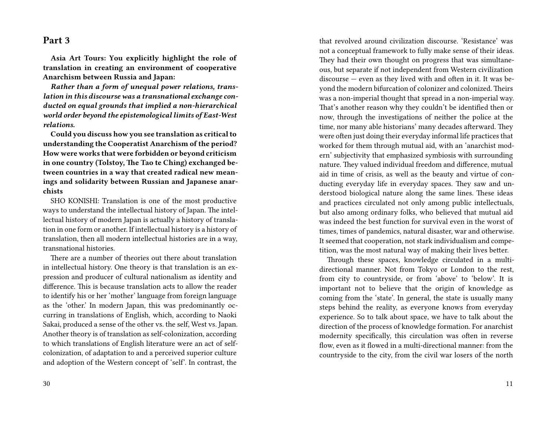## **Part 3**

**Asia Art Tours: You explicitly highlight the role of translation in creating an environment of cooperative Anarchism between Russia and Japan:**

*Rather than a form of unequal power relations, translation in this discourse was a transnational exchange conducted on equal grounds that implied a non-hierarchical world order beyond the epistemological limits of East-West relations.*

**Could you discuss how you see translation as critical to understanding the Cooperatist Anarchism of the period? How were works that were forbidden or beyond criticism in one country (Tolstoy, The Tao te Ching) exchanged between countries in a way that created radical new meanings and solidarity between Russian and Japanese anarchists**

SHO KONISHI: Translation is one of the most productive ways to understand the intellectual history of Japan. The intellectual history of modern Japan is actually a history of translation in one form or another. If intellectual history is a history of translation, then all modern intellectual histories are in a way, transnational histories.

There are a number of theories out there about translation in intellectual history. One theory is that translation is an expression and producer of cultural nationalism as identity and difference. This is because translation acts to allow the reader to identify his or her 'mother' language from foreign language as the 'other.' In modern Japan, this was predominantly occurring in translations of English, which, according to Naoki Sakai, produced a sense of the other vs. the self, West vs. Japan. Another theory is of translation as self-colonization, according to which translations of English literature were an act of selfcolonization, of adaptation to and a perceived superior culture and adoption of the Western concept of 'self'. In contrast, the

30

that revolved around civilization discourse. 'Resistance' was not a conceptual framework to fully make sense of their ideas. They had their own thought on progress that was simultaneous, but separate if not independent from Western civilization discourse — even as they lived with and often in it. It was beyond the modern bifurcation of colonizer and colonized. Theirs was a non-imperial thought that spread in a non-imperial way. That's another reason why they couldn't be identified then or now, through the investigations of neither the police at the time, nor many able historians' many decades afterward. They were often just doing their everyday informal life practices that worked for them through mutual aid, with an 'anarchist modern' subjectivity that emphasized symbiosis with surrounding nature. They valued individual freedom and difference, mutual aid in time of crisis, as well as the beauty and virtue of conducting everyday life in everyday spaces. They saw and understood biological nature along the same lines. These ideas and practices circulated not only among public intellectuals, but also among ordinary folks, who believed that mutual aid was indeed the best function for survival even in the worst of times, times of pandemics, natural disaster, war and otherwise. It seemed that cooperation, not stark individualism and competition, was the most natural way of making their lives better.

Through these spaces, knowledge circulated in a multidirectional manner. Not from Tokyo or London to the rest, from city to countryside, or from 'above' to 'below'. It is important not to believe that the origin of knowledge as coming from the 'state'. In general, the state is usually many steps behind the reality, as everyone knows from everyday experience. So to talk about space, we have to talk about the direction of the process of knowledge formation. For anarchist modernity specifically, this circulation was often in reverse flow, even as it flowed in a multi-directional manner: from the countryside to the city, from the civil war losers of the north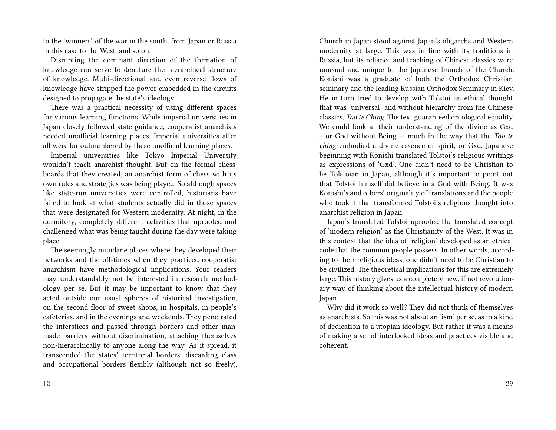to the 'winners' of the war in the south, from Japan or Russia in this case to the West, and so on.

Disrupting the dominant direction of the formation of knowledge can serve to denature the hierarchical structure of knowledge. Multi-directional and even reverse flows of knowledge have stripped the power embedded in the circuits designed to propagate the state's ideology.

There was a practical necessity of using different spaces for various learning functions. While imperial universities in Japan closely followed state guidance, cooperatist anarchists needed unofficial learning places. Imperial universities after all were far outnumbered by these unofficial learning places.

Imperial universities like Tokyo Imperial University wouldn't teach anarchist thought. But on the formal chessboards that they created, an anarchist form of chess with its own rules and strategies was being played. So although spaces like state-run universities were controlled, historians have failed to look at what students actually did in those spaces that were designated for Western modernity. At night, in the dormitory, completely different activities that uprooted and challenged what was being taught during the day were taking place.

The seemingly mundane places where they developed their networks and the off-times when they practiced cooperatist anarchism have methodological implications. Your readers may understandably not be interested in research methodology per se. But it may be important to know that they acted outside our usual spheres of historical investigation, on the second floor of sweet shops, in hospitals, in people's cafeterias, and in the evenings and weekends. They penetrated the interstices and passed through borders and other manmade barriers without discrimination, attaching themselves non-hierarchically to anyone along the way. As it spread, it transcended the states' territorial borders, discarding class and occupational borders flexibly (although not so freely),

12

Church in Japan stood against Japan's oligarchs and Western modernity at large. This was in line with its traditions in Russia, but its reliance and teaching of Chinese classics were unusual and unique to the Japanese branch of the Church. Konishi was a graduate of both the Orthodox Christian seminary and the leading Russian Orthodox Seminary in Kiev. He in turn tried to develop with Tolstoi an ethical thought that was 'universal' and without hierarchy from the Chinese classics, *Tao te Ching*. The text guaranteed ontological equality. We could look at their understanding of the divine as Gxd – or God without Being — much in the way that the *Tao te ching* embodied a divine essence or spirit, or Gxd. Japanese beginning with Konishi translated Tolstoi's religious writings as expressions of 'Gxd'. One didn't need to be Christian to be Tolstoian in Japan, although it's important to point out that Tolstoi himself did believe in a God with Being. It was Konishi's and others' originality of translations and the people who took it that transformed Tolstoi's religious thought into anarchist religion in Japan.

Japan's translated Tolstoi uprooted the translated concept of 'modern religion' as the Christianity of the West. It was in this context that the idea of 'religion' developed as an ethical code that the common people possess. In other words, according to their religious ideas, one didn't need to be Christian to be civilized. The theoretical implications for this are extremely large. This history gives us a completely new, if not revolutionary way of thinking about the intellectual history of modern Japan.

Why did it work so well? They did not think of themselves as anarchists. So this was not about an 'ism' per se, as in a kind of dedication to a utopian ideology. But rather it was a means of making a set of interlocked ideas and practices visible and coherent.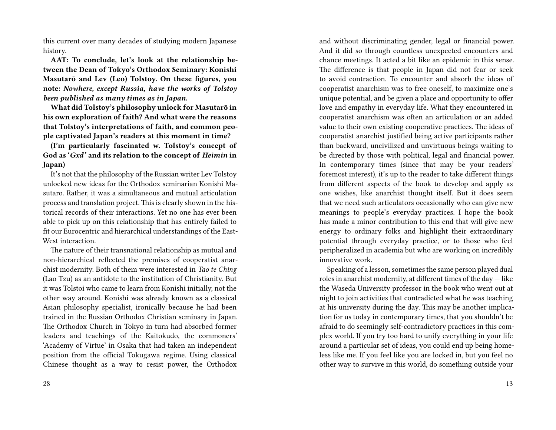this current over many decades of studying modern Japanese history.

**AAT: To conclude, let's look at the relationship between the Dean of Tokyo's Orthodox Seminary: Konishi Masutarō and Lev (Leo) Tolstoy. On these figures, you note:** *Nowhere, except Russia, have the works of Tolstoy been published as many times as in Japan.*

**What did Tolstoy's philosophy unlock for Masutarō in his own exploration of faith? And what were the reasons that Tolstoy's interpretations of faith, and common people captivated Japan's readers at this moment in time?**

**(I'm particularly fascinated w. Tolstoy's concept of God as '***Gxd'* **and its relation to the concept of** *Heimin* **in Japan)**

It's not that the philosophy of the Russian writer Lev Tolstoy unlocked new ideas for the Orthodox seminarian Konishi Masutaro. Rather, it was a simultaneous and mutual articulation process and translation project. This is clearly shown in the historical records of their interactions. Yet no one has ever been able to pick up on this relationship that has entirely failed to fit our Eurocentric and hierarchical understandings of the East-West interaction.

The nature of their transnational relationship as mutual and non-hierarchical reflected the premises of cooperatist anarchist modernity. Both of them were interested in *Tao te Ching* (Lao Tzu) as an antidote to the institution of Christianity. But it was Tolstoi who came to learn from Konishi initially, not the other way around. Konishi was already known as a classical Asian philosophy specialist, ironically because he had been trained in the Russian Orthodox Christian seminary in Japan. The Orthodox Church in Tokyo in turn had absorbed former leaders and teachings of the Kaitokudo, the commoners' 'Academy of Virtue' in Osaka that had taken an independent position from the official Tokugawa regime. Using classical Chinese thought as a way to resist power, the Orthodox

and without discriminating gender, legal or financial power. And it did so through countless unexpected encounters and chance meetings. It acted a bit like an epidemic in this sense. The difference is that people in Japan did not fear or seek to avoid contraction. To encounter and absorb the ideas of cooperatist anarchism was to free oneself, to maximize one's unique potential, and be given a place and opportunity to offer love and empathy in everyday life. What they encountered in cooperatist anarchism was often an articulation or an added value to their own existing cooperative practices. The ideas of cooperatist anarchist justified being active participants rather than backward, uncivilized and unvirtuous beings waiting to be directed by those with political, legal and financial power. In contemporary times (since that may be your readers' foremost interest), it's up to the reader to take different things from different aspects of the book to develop and apply as one wishes, like anarchist thought itself. But it does seem that we need such articulators occasionally who can give new meanings to people's everyday practices. I hope the book has made a minor contribution to this end that will give new energy to ordinary folks and highlight their extraordinary potential through everyday practice, or to those who feel peripheralized in academia but who are working on incredibly innovative work.

Speaking of a lesson, sometimes the same person played dual roles in anarchist modernity, at different times of the day — like the Waseda University professor in the book who went out at night to join activities that contradicted what he was teaching at his university during the day. This may be another implication for us today in contemporary times, that you shouldn't be afraid to do seemingly self-contradictory practices in this complex world. If you try too hard to unify everything in your life around a particular set of ideas, you could end up being homeless like me. If you feel like you are locked in, but you feel no other way to survive in this world, do something outside your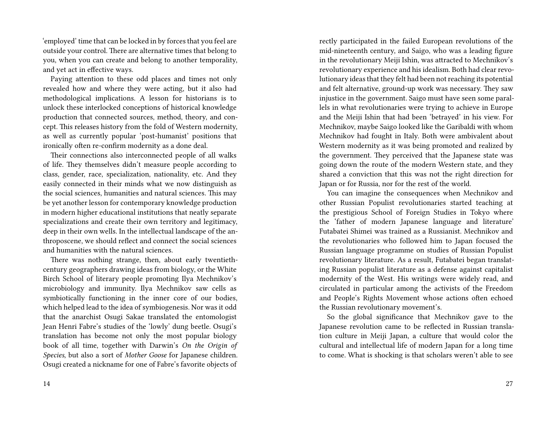'employed' time that can be locked in by forces that you feel are outside your control. There are alternative times that belong to you, when you can create and belong to another temporality, and yet act in effective ways.

Paying attention to these odd places and times not only revealed how and where they were acting, but it also had methodological implications. A lesson for historians is to unlock these interlocked conceptions of historical knowledge production that connected sources, method, theory, and concept. This releases history from the fold of Western modernity, as well as currently popular 'post-humanist' positions that ironically often re-confirm modernity as a done deal.

Their connections also interconnected people of all walks of life. They themselves didn't measure people according to class, gender, race, specialization, nationality, etc. And they easily connected in their minds what we now distinguish as the social sciences, humanities and natural sciences. This may be yet another lesson for contemporary knowledge production in modern higher educational institutions that neatly separate specializations and create their own territory and legitimacy, deep in their own wells. In the intellectual landscape of the anthroposcene, we should reflect and connect the social sciences and humanities with the natural sciences.

There was nothing strange, then, about early twentiethcentury geographers drawing ideas from biology, or the White Birch School of literary people promoting Ilya Mechnikov's microbiology and immunity. Ilya Mechnikov saw cells as symbiotically functioning in the inner core of our bodies, which helped lead to the idea of symbiogenesis. Nor was it odd that the anarchist Osugi Sakae translated the entomologist Jean Henri Fabre's studies of the 'lowly' dung beetle. Osugi's translation has become not only the most popular biology book of all time, together with Darwin's *On the Origin of Species*, but also a sort of *Mother Goose* for Japanese children. Osugi created a nickname for one of Fabre's favorite objects of

rectly participated in the failed European revolutions of the mid-nineteenth century, and Saigo, who was a leading figure in the revolutionary Meiji Ishin, was attracted to Mechnikov's revolutionary experience and his idealism. Both had clear revolutionary ideas that they felt had been not reaching its potential and felt alternative, ground-up work was necessary. They saw injustice in the government. Saigo must have seen some parallels in what revolutionaries were trying to achieve in Europe and the Meiji Ishin that had been 'betrayed' in his view. For Mechnikov, maybe Saigo looked like the Garibaldi with whom Mechnikov had fought in Italy. Both were ambivalent about Western modernity as it was being promoted and realized by the government. They perceived that the Japanese state was going down the route of the modern Western state, and they shared a conviction that this was not the right direction for Japan or for Russia, nor for the rest of the world.

You can imagine the consequences when Mechnikov and other Russian Populist revolutionaries started teaching at the prestigious School of Foreign Studies in Tokyo where the 'father of modern Japanese language and literature' Futabatei Shimei was trained as a Russianist. Mechnikov and the revolutionaries who followed him to Japan focused the Russian language programme on studies of Russian Populist revolutionary literature. As a result, Futabatei began translating Russian populist literature as a defense against capitalist modernity of the West. His writings were widely read, and circulated in particular among the activists of the Freedom and People's Rights Movement whose actions often echoed the Russian revolutionary movement's.

So the global significance that Mechnikov gave to the Japanese revolution came to be reflected in Russian translation culture in Meiji Japan, a culture that would color the cultural and intellectual life of modern Japan for a long time to come. What is shocking is that scholars weren't able to see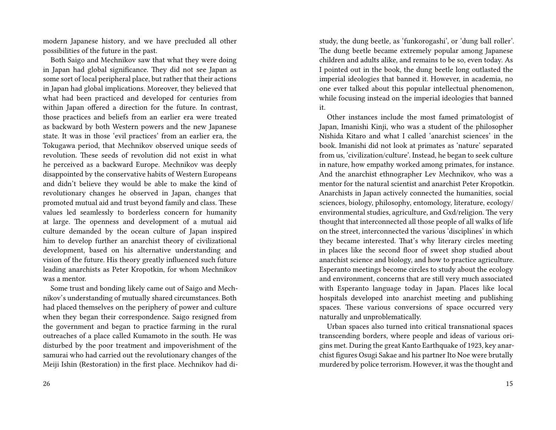modern Japanese history, and we have precluded all other possibilities of the future in the past.

Both Saigo and Mechnikov saw that what they were doing in Japan had global significance. They did not see Japan as some sort of local peripheral place, but rather that their actions in Japan had global implications. Moreover, they believed that what had been practiced and developed for centuries from within Japan offered a direction for the future. In contrast, those practices and beliefs from an earlier era were treated as backward by both Western powers and the new Japanese state. It was in those 'evil practices' from an earlier era, the Tokugawa period, that Mechnikov observed unique seeds of revolution. These seeds of revolution did not exist in what he perceived as a backward Europe. Mechnikov was deeply disappointed by the conservative habits of Western Europeans and didn't believe they would be able to make the kind of revolutionary changes he observed in Japan, changes that promoted mutual aid and trust beyond family and class. These values led seamlessly to borderless concern for humanity at large. The openness and development of a mutual aid culture demanded by the ocean culture of Japan inspired him to develop further an anarchist theory of civilizational development, based on his alternative understanding and vision of the future. His theory greatly influenced such future leading anarchists as Peter Kropotkin, for whom Mechnikov was a mentor.

Some trust and bonding likely came out of Saigo and Mechnikov's understanding of mutually shared circumstances. Both had placed themselves on the periphery of power and culture when they began their correspondence. Saigo resigned from the government and began to practice farming in the rural outreaches of a place called Kumamoto in the south. He was disturbed by the poor treatment and impoverishment of the samurai who had carried out the revolutionary changes of the Meiji Ishin (Restoration) in the first place. Mechnikov had di-

26

study, the dung beetle, as 'funkorogashi', or 'dung ball roller'. The dung beetle became extremely popular among Japanese children and adults alike, and remains to be so, even today. As I pointed out in the book, the dung beetle long outlasted the imperial ideologies that banned it. However, in academia, no one ever talked about this popular intellectual phenomenon, while focusing instead on the imperial ideologies that banned it.

Other instances include the most famed primatologist of Japan, Imanishi Kinji, who was a student of the philosopher Nishida Kitaro and what I called 'anarchist sciences' in the book. Imanishi did not look at primates as 'nature' separated from us, 'civilization/culture'. Instead, he began to seek culture in nature, how empathy worked among primates, for instance. And the anarchist ethnographer Lev Mechnikov, who was a mentor for the natural scientist and anarchist Peter Kropotkin. Anarchists in Japan actively connected the humanities, social sciences, biology, philosophy, entomology, literature, ecology/ environmental studies, agriculture, and Gxd/religion. The very thought that interconnected all those people of all walks of life on the street, interconnected the various 'disciplines' in which they became interested. That's why literary circles meeting in places like the second floor of sweet shop studied about anarchist science and biology, and how to practice agriculture. Esperanto meetings become circles to study about the ecology and environment, concerns that are still very much associated with Esperanto language today in Japan. Places like local hospitals developed into anarchist meeting and publishing spaces. These various conversions of space occurred very naturally and unproblematically.

Urban spaces also turned into critical transnational spaces transcending borders, where people and ideas of various origins met. During the great Kanto Earthquake of 1923, key anarchist figures Osugi Sakae and his partner Ito Noe were brutally murdered by police terrorism. However, it was the thought and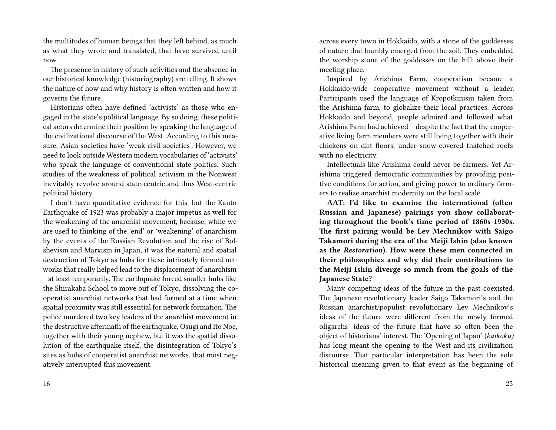the multitudes of human beings that they left behind, as much as what they wrote and translated, that have survived until now.

The presence in history of such activities and the absence in our historical knowledge (historiography) are telling. It shows the nature of how and why history is often written and how it governs the future.

Historians often have defined 'activists' as those who engaged in the state's political language. By so doing, these political actors determine their position by speaking the language of the civilizational discourse of the West. According to this measure, Asian societies have 'weak civil societies'. However, we need to look outside Western modern vocabularies of 'activists' who speak the language of conventional state politics. Such studies of the weakness of political activism in the Nonwest inevitably revolve around state-centric and thus West-centric political history.

I don't have quantitative evidence for this, but the Kanto Earthquake of 1923 was probably a major impetus as well for the weakening of the anarchist movement, because, while we are used to thinking of the 'end' or 'weakening' of anarchism by the events of the Russian Revolution and the rise of Bolshevism and Marxism in Japan, it was the natural and spatial destruction of Tokyo as hubs for these intricately formed networks that really helped lead to the displacement of anarchism – at least temporarily. The earthquake forced smaller hubs like the Shirakaba School to move out of Tokyo, dissolving the cooperatist anarchist networks that had formed at a time when spatial proximity was still essential for network formation. The police murdered two key leaders of the anarchist movement in the destructive aftermath of the earthquake, Osugi and Ito Noe, together with their young nephew, but it was the spatial dissolution of the earthquake itself, the disintegration of Tokyo's sites as hubs of cooperatist anarchist networks, that most negatively interrupted this movement.

across every town in Hokkaido, with a stone of the goddesses of nature that humbly emerged from the soil. They embedded the worship stone of the goddesses on the hill, above their meeting place.

Inspired by Arishima Farm, cooperatism became a Hokkaido-wide cooperative movement without a leader. Participants used the language of Kropotkinism taken from the Arishima farm, to globalize their local practices. Across Hokkaido and beyond, people admired and followed what Arishima Farm had achieved – despite the fact that the cooperative living farm members were still living together with their chickens on dirt floors, under snow-covered thatched roofs with no electricity.

Intellectuals like Arishima could never be farmers. Yet Arishima triggered democratic communities by providing positive conditions for action, and giving power to ordinary farmers to realize anarchist modernity on the local scale.

**AAT: I'd like to examine the international (often Russian and Japanese) pairings you show collaborating throughout the book's time period of 1860s-1930s. The first pairing would be Lev Mechnikov with Saigo Takamori during the era of the Meiji Ishin (also known as the** *Restoration***). How were these men connected in their philosophies and why did their contributions to the Meiji Ishin diverge so much from the goals of the Japanese State?**

Many competing ideas of the future in the past coexisted. The Japanese revolutionary leader Saigo Takamori's and the Russian anarchist/populist revolutionary Lev Mechnikov's ideas of the future were different from the newly formed oligarchs' ideas of the future that have so often been the object of historians' interest. The 'Opening of Japan' (*kaikoku)* has long meant the opening to the West and its civilization discourse. That particular interpretation has been the sole historical meaning given to that event as the beginning of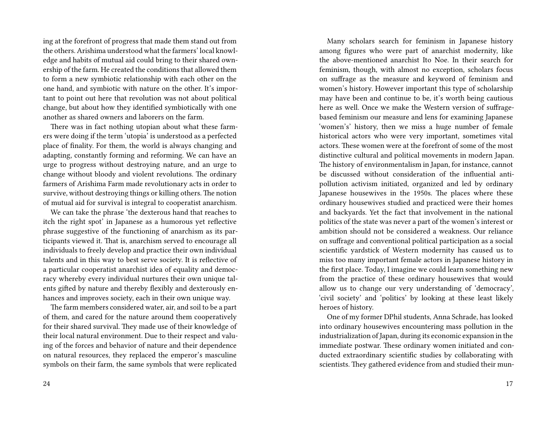ing at the forefront of progress that made them stand out from the others. Arishima understood what the farmers' local knowledge and habits of mutual aid could bring to their shared ownership of the farm. He created the conditions that allowed them to form a new symbiotic relationship with each other on the one hand, and symbiotic with nature on the other. It's important to point out here that revolution was not about political change, but about how they identified symbiotically with one another as shared owners and laborers on the farm.

There was in fact nothing utopian about what these farmers were doing if the term 'utopia' is understood as a perfected place of finality. For them, the world is always changing and adapting, constantly forming and reforming. We can have an urge to progress without destroying nature, and an urge to change without bloody and violent revolutions. The ordinary farmers of Arishima Farm made revolutionary acts in order to survive, without destroying things or killing others. The notion of mutual aid for survival is integral to cooperatist anarchism.

We can take the phrase 'the dexterous hand that reaches to itch the right spot' in Japanese as a humorous yet reflective phrase suggestive of the functioning of anarchism as its participants viewed it. That is, anarchism served to encourage all individuals to freely develop and practice their own individual talents and in this way to best serve society. It is reflective of a particular cooperatist anarchist idea of equality and democracy whereby every individual nurtures their own unique talents gifted by nature and thereby flexibly and dexterously enhances and improves society, each in their own unique way.

The farm members considered water, air, and soil to be a part of them, and cared for the nature around them cooperatively for their shared survival. They made use of their knowledge of their local natural environment. Due to their respect and valuing of the forces and behavior of nature and their dependence on natural resources, they replaced the emperor's masculine symbols on their farm, the same symbols that were replicated

Many scholars search for feminism in Japanese history among figures who were part of anarchist modernity, like the above-mentioned anarchist Ito Noe. In their search for feminism, though, with almost no exception, scholars focus on suffrage as the measure and keyword of feminism and women's history. However important this type of scholarship may have been and continue to be, it's worth being cautious here as well. Once we make the Western version of suffragebased feminism our measure and lens for examining Japanese 'women's' history, then we miss a huge number of female historical actors who were very important, sometimes vital actors. These women were at the forefront of some of the most distinctive cultural and political movements in modern Japan. The history of environmentalism in Japan, for instance, cannot be discussed without consideration of the influential antipollution activism initiated, organized and led by ordinary Japanese housewives in the 1950s. The places where these ordinary housewives studied and practiced were their homes and backyards. Yet the fact that involvement in the national politics of the state was never a part of the women's interest or ambition should not be considered a weakness. Our reliance on suffrage and conventional political participation as a social scientific yardstick of Western modernity has caused us to miss too many important female actors in Japanese history in the first place. Today, I imagine we could learn something new from the practice of these ordinary housewives that would allow us to change our very understanding of 'democracy', 'civil society' and 'politics' by looking at these least likely heroes of history.

One of my former DPhil students, Anna Schrade, has looked into ordinary housewives encountering mass pollution in the industrialization of Japan, during its economic expansion in the immediate postwar. These ordinary women initiated and conducted extraordinary scientific studies by collaborating with scientists. They gathered evidence from and studied their mun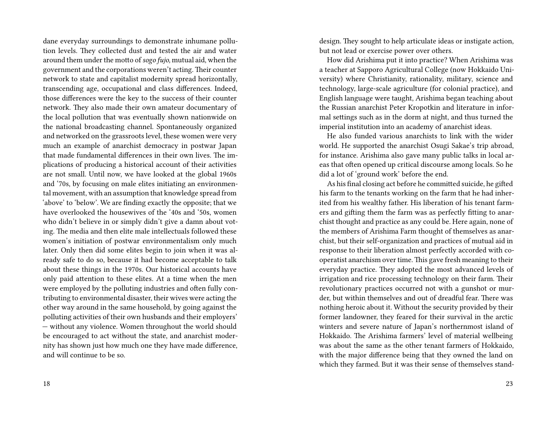dane everyday surroundings to demonstrate inhumane pollution levels. They collected dust and tested the air and water around them under the motto of *sogo fujo,* mutual aid, when the government and the corporations weren't acting. Their counter network to state and capitalist modernity spread horizontally, transcending age, occupational and class differences. Indeed, those differences were the key to the success of their counter network. They also made their own amateur documentary of the local pollution that was eventually shown nationwide on the national broadcasting channel. Spontaneously organized and networked on the grassroots level, these women were very much an example of anarchist democracy in postwar Japan that made fundamental differences in their own lives. The implications of producing a historical account of their activities are not small. Until now, we have looked at the global 1960s and '70s, by focusing on male elites initiating an environmental movement, with an assumption that knowledge spread from 'above' to 'below'. We are finding exactly the opposite; that we have overlooked the housewives of the '40s and '50s, women who didn't believe in or simply didn't give a damn about voting. The media and then elite male intellectuals followed these women's initiation of postwar environmentalism only much later. Only then did some elites begin to join when it was already safe to do so, because it had become acceptable to talk about these things in the 1970s. Our historical accounts have only paid attention to these elites. At a time when the men were employed by the polluting industries and often fully contributing to environmental disaster, their wives were acting the other way around in the same household, by going against the polluting activities of their own husbands and their employers' — without any violence. Women throughout the world should be encouraged to act without the state, and anarchist modernity has shown just how much one they have made difference, and will continue to be so.

18

design. They sought to help articulate ideas or instigate action, but not lead or exercise power over others.

How did Arishima put it into practice? When Arishima was a teacher at Sapporo Agricultural College (now Hokkaido University) where Christianity, rationality, military, science and technology, large-scale agriculture (for colonial practice), and English language were taught, Arishima began teaching about the Russian anarchist Peter Kropotkin and literature in informal settings such as in the dorm at night, and thus turned the imperial institution into an academy of anarchist ideas.

He also funded various anarchists to link with the wider world. He supported the anarchist Osugi Sakae's trip abroad, for instance. Arishima also gave many public talks in local areas that often opened up critical discourse among locals. So he did a lot of 'ground work' before the end.

As his final closing act before he committed suicide, he gifted his farm to the tenants working on the farm that he had inherited from his wealthy father. His liberation of his tenant farmers and gifting them the farm was as perfectly fitting to anarchist thought and practice as any could be. Here again, none of the members of Arishima Farm thought of themselves as anarchist, but their self-organization and practices of mutual aid in response to their liberation almost perfectly accorded with cooperatist anarchism over time. This gave fresh meaning to their everyday practice. They adopted the most advanced levels of irrigation and rice processing technology on their farm. Their revolutionary practices occurred not with a gunshot or murder, but within themselves and out of dreadful fear. There was nothing heroic about it. Without the security provided by their former landowner, they feared for their survival in the arctic winters and severe nature of Japan's northernmost island of Hokkaido. The Arishima farmers' level of material wellbeing was about the same as the other tenant farmers of Hokkaido, with the major difference being that they owned the land on which they farmed. But it was their sense of themselves stand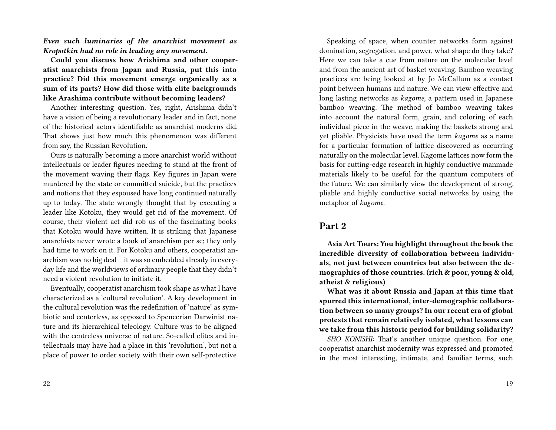*Even such luminaries of the anarchist movement as Kropotkin had no role in leading any movement.*

**Could you discuss how Arishima and other cooperatist anarchists from Japan and Russia, put this into practice? Did this movement emerge organically as a sum of its parts? How did those with elite backgrounds like Arashima contribute without becoming leaders?**

Another interesting question. Yes, right, Arishima didn't have a vision of being a revolutionary leader and in fact, none of the historical actors identifiable as anarchist moderns did. That shows just how much this phenomenon was different from say, the Russian Revolution.

Ours is naturally becoming a more anarchist world without intellectuals or leader figures needing to stand at the front of the movement waving their flags. Key figures in Japan were murdered by the state or committed suicide, but the practices and notions that they espoused have long continued naturally up to today. The state wrongly thought that by executing a leader like Kotoku, they would get rid of the movement. Of course, their violent act did rob us of the fascinating books that Kotoku would have written. It is striking that Japanese anarchists never wrote a book of anarchism per se; they only had time to work on it. For Kotoku and others, cooperatist anarchism was no big deal – it was so embedded already in everyday life and the worldviews of ordinary people that they didn't need a violent revolution to initiate it.

Eventually, cooperatist anarchism took shape as what I have characterized as a 'cultural revolution'. A key development in the cultural revolution was the redefinition of 'nature' as symbiotic and centerless, as opposed to Spencerian Darwinist nature and its hierarchical teleology. Culture was to be aligned with the centreless universe of nature. So-called elites and intellectuals may have had a place in this 'revolution', but not a place of power to order society with their own self-protective

Speaking of space, when counter networks form against domination, segregation, and power, what shape do they take? Here we can take a cue from nature on the molecular level and from the ancient art of basket weaving. Bamboo weaving practices are being looked at by Jo McCallum as a contact point between humans and nature. We can view effective and long lasting networks as *kagome*, a pattern used in Japanese bamboo weaving. The method of bamboo weaving takes into account the natural form, grain, and coloring of each individual piece in the weave, making the baskets strong and yet pliable. Physicists have used the term *kagome* as a name for a particular formation of lattice discovered as occurring naturally on the molecular level. Kagome lattices now form the basis for cutting-edge research in highly conductive manmade materials likely to be useful for the quantum computers of the future. We can similarly view the development of strong, pliable and highly conductive social networks by using the metaphor of *kagome*.

## **Part 2**

**Asia Art Tours: You highlight throughout the book the incredible diversity of collaboration between individuals, not just between countries but also between the demographics of those countries. (rich & poor, young & old, atheist & religious)**

**What was it about Russia and Japan at this time that spurred this international, inter-demographic collaboration between so many groups? In our recent era of global protests that remain relatively isolated, what lessons can we take from this historic period for building solidarity?**

*SHO KONISHI:* That's another unique question. For one, cooperatist anarchist modernity was expressed and promoted in the most interesting, intimate, and familiar terms, such